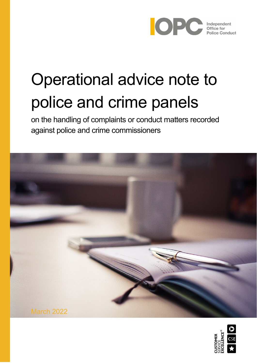

# Operational advice note to police and crime panels

on the handling of complaints or conduct matters recorded against police and crime commissioners



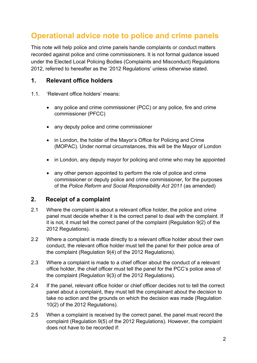## **Operational advice note to police and crime panels**

This note will help police and crime panels handle complaints or conduct matters recorded against police and crime commissioners. It is not formal guidance issued under the Elected Local Policing Bodies (Complaints and Misconduct) Regulations 2012, referred to hereafter as the '2012 Regulations' unless otherwise stated.

#### **1. Relevant office holders**

- 1.1. 'Relevant office holders' means:
	- any police and crime commissioner (PCC) or any police, fire and crime commissioner (PFCC)
	- any deputy police and crime commissioner
	- in London, the holder of the Mayor's Office for Policing and Crime (MOPAC). Under normal circumstances, this will be the Mayor of London
	- in London, any deputy mayor for policing and crime who may be appointed
	- any other person appointed to perform the role of police and crime commissioner or deputy police and crime commissioner, for the purposes of the *Police Reform and Social Responsibility Act 2011* (as amended)

#### **2. Receipt of a complaint**

- 2.1 Where the complaint is about a relevant office holder, the police and crime panel must decide whether it is the correct panel to deal with the complaint. If it is not, it must tell the correct panel of the complaint (Regulation 9(2) of the 2012 Regulations).
- 2.2 Where a complaint is made directly to a relevant office holder about their own conduct, the relevant office holder must tell the panel for their police area of the complaint (Regulation 9(4) of the 2012 Regulations).
- 2.3 Where a complaint is made to a chief officer about the conduct of a relevant office holder, the chief officer must tell the panel for the PCC's police area of the complaint (Regulation 9(3) of the 2012 Regulations).
- 2.4 If the panel, relevant office holder or chief officer decides not to tell the correct panel about a complaint, they must tell the complainant about the decision to take no action and the grounds on which the decision was made (Regulation 10(2) of the 2012 Regulations).
- 2.5 When a complaint is received by the correct panel, the panel must record the complaint (Regulation 9(5) of the 2012 Regulations). However, the complaint does not have to be recorded if: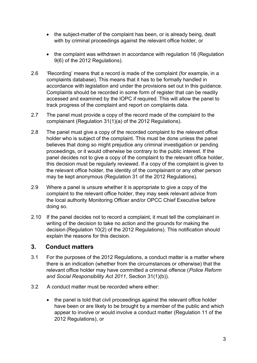- the subject-matter of the complaint has been, or is already being, dealt with by criminal proceedings against the relevant office holder, or
- the complaint was withdrawn in accordance with regulation 16 (Regulation 9(6) of the 2012 Regulations).
- 2.6 'Recording' means that a record is made of the complaint (for example, in a complaints database). This means that it has to be formally handled in accordance with legislation and under the provisions set out in this guidance. Complaints should be recorded in some form of register that can be readily accessed and examined by the IOPC if required. This will allow the panel to track progress of the complaint and report on complaints data.
- 2.7 The panel must provide a copy of the record made of the complaint to the complainant (Regulation 31(1)(a) of the 2012 Regulations).
- 2.8 The panel must give a copy of the recorded complaint to the relevant office holder who is subject of the complaint. This must be done unless the panel believes that doing so might prejudice any criminal investigation or pending proceedings, or it would otherwise be contrary to the public interest. If the panel decides not to give a copy of the complaint to the relevant office holder, this decision must be regularly reviewed. If a copy of the complaint is given to the relevant office holder, the identity of the complainant or any other person may be kept anonymous (Regulation 31 of the 2012 Regulations).
- 2.9 Where a panel is unsure whether it is appropriate to give a copy of the complaint to the relevant office holder, they may seek relevant advice from the local authority Monitoring Officer and/or OPCC Chief Executive before doing so.
- 2.10 If the panel decides not to record a complaint, it must tell the complainant in writing of the decision to take no action and the grounds for making the decision (Regulation 10(2) of the 2012 Regulations). This notification should explain the reasons for this decision.

## **3. Conduct matters**

- 3.1 For the purposes of the 2012 Regulations, a conduct matter is a matter where there is an indication (whether from the circumstances or otherwise) that the relevant office holder may have committed a criminal offence (*Police Reform and Social Responsibility Act 2011*, Section 31(1)(b)).
- 3.2 A conduct matter must be recorded where either:
	- the panel is told that civil proceedings against the relevant office holder have been or are likely to be brought by a member of the public and which appear to involve or would involve a conduct matter (Regulation 11 of the 2012 Regulations), or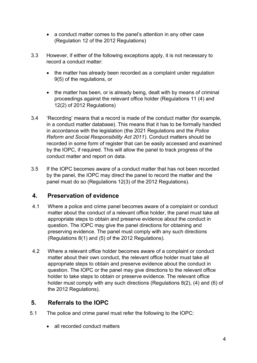- a conduct matter comes to the panel's attention in any other case (Regulation 12 of the 2012 Regulations)
- 3.3 However, if either of the following exceptions apply, it is not necessary to record a conduct matter:
	- the matter has already been recorded as a complaint under regulation 9(5) of the regulations, or
	- the matter has been, or is already being, dealt with by means of criminal proceedings against the relevant office holder (Regulations 11 (4) and 12(2) of 2012 Regulations)
- 3.4 'Recording' means that a record is made of the conduct matter (for example, in a conduct matter database). This means that it has to be formally handled in accordance with the legislation (the 2021 Regulations and the *Police Reform and Social Responsibility Act 2011*). Conduct matters should be recorded in some form of register that can be easily accessed and examined by the IOPC, if required. This will allow the panel to track progress of the conduct matter and report on data.
- 3.5 If the IOPC becomes aware of a conduct matter that has not been recorded by the panel, the IOPC may direct the panel to record the matter and the panel must do so (Regulations 12(3) of the 2012 Regulations).

## **4. Preservation of evidence**

- 4.1 Where a police and crime panel becomes aware of a complaint or conduct matter about the conduct of a relevant office holder, the panel must take all appropriate steps to obtain and preserve evidence about the conduct in question. The IOPC may give the panel directions for obtaining and preserving evidence. The panel must comply with any such directions (Regulations 8(1) and (5) of the 2012 Regulations).
- 4.2 Where a relevant office holder becomes aware of a complaint or conduct matter about their own conduct, the relevant office holder must take all appropriate steps to obtain and preserve evidence about the conduct in question. The IOPC or the panel may give directions to the relevant office holder to take steps to obtain or preserve evidence. The relevant office holder must comply with any such directions (Regulations 8(2), (4) and (6) of the 2012 Regulations).

## **5. Referrals to the IOPC**

- 5.1 The police and crime panel must refer the following to the IOPC:
	- all recorded conduct matters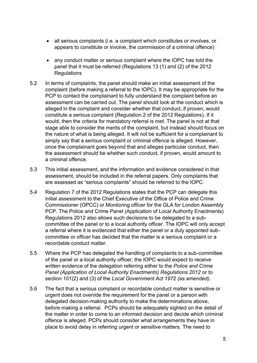- all serious complaints (i.e. a complaint which constitutes or involves, or appears to constitute or involve, the commission of a criminal offence)
- any conduct matter or serious complaint where the IOPC has told the panel that it must be referred (Regulations 13 (1) and (2) of the 2012 **Regulations**
- 5.2 In terms of complaints, the panel should make an initial assessment of the complaint (before making a referral to the IOPC). It may be appropriate for the PCP to contact the complainant to fully understand the complaint before an assessment can be carried out. The panel should look at the conduct which is alleged in the complaint and consider whether that conduct, if proven, would constitute a serious complaint (Regulation 2 of the 2012 Regulations). If it would, then the criteria for mandatory referral is met. The panel is not at that stage able to consider the merits of the complaint, but instead should focus on the nature of what is being alleged. It will not be sufficient for a complainant to simply say that a serious complaint or criminal offence is alleged. However, once the complainant goes beyond that and alleges particular conduct, then the assessment should be whether such conduct, if proven, would amount to a criminal offence.
- 5.3 This initial assessment, and the information and evidence considered in that assessment, should be included in the referral papers. Only complaints that are assessed as "serious complaints" should be referred to the IOPC.
- 5.4 Regulation 7 of the 2012 Regulations states that the PCP can delegate this initial assessment to the Chief Executive of the Office of Police and Crime Commissioner (OPCC) or Monitoring officer for the GLA for London Assembly PCP. The Police and Crime Panel (Application of Local Authority Enactments) Regulations 2012 also allows such decisions to be delegated to a subcommittee of the panel or to a local authority officer. The IOPC will only accept a referral where it is evidenced that either the panel or a duly appointed subcommittee or officer has decided that the matter is a serious complaint or a recordable conduct matter.
- 5.5 Where the PCP has delegated the handling of complaints to a sub-committee of the panel or a local authority officer, the IOPC would expect to receive written evidence of the delegation referring either to the *Police and Crime Panel (Application of Local Authority Enactments) Regulations 2012* or to section 101(2) and (3) of the *Local Government Act 1972 (as amended)*.
- 5.6 The fact that a serious complaint or recordable conduct matter is sensitive or urgent does not override the requirement for the panel or a person with delegated decision-making authority to make the determinations above, before making a referral. PCPs should be adequately sighted on the detail of the matter in order to come to an informed decision and decide which criminal offence is alleged. PCPs should consider what arrangements they have in place to avoid delay in referring urgent or sensitive matters. The need to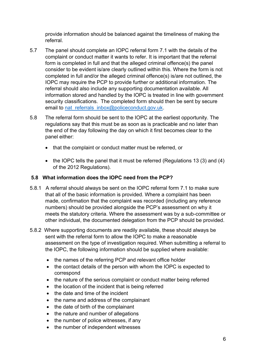provide information should be balanced against the timeliness of making the referral.

- 5.7 The panel should complete an IOPC referral form 7.1 with the details of the complaint or conduct matter it wants to refer. It is important that the referral form is completed in full and that the alleged criminal offence(s) the panel consider to be evident is/are clearly outlined within this. Where the form is not completed in full and/or the alleged criminal offence(s) is/are not outlined, the IOPC may require the PCP to provide further or additional information. The referral should also include any supporting documentation available. All information stored and handled by the IOPC is treated in line with government security classifications. The completed form should then be sent by secure email to nat referrals inbox@policeconduct.gov.uk.
- 5.8 The referral form should be sent to the IOPC at the earliest opportunity. The regulations say that this must be as soon as is practicable and no later than the end of the day following the day on which it first becomes clear to the panel either:
	- that the complaint or conduct matter must be referred, or
	- the IOPC tells the panel that it must be referred (Regulations 13 (3) and (4) of the 2012 Regulations).

#### **5.8 What information does the IOPC need from the PCP?**

- 5.8.1 A referral should always be sent on the IOPC referral form 7.1 to make sure that all of the basic information is provided. Where a complaint has been made, confirmation that the complaint was recorded (including any reference numbers) should be provided alongside the PCP's assessment on why it meets the statutory criteria. Where the assessment was by a sub-committee or other individual, the documented delegation from the PCP should be provided.
- 5.8.2 Where supporting documents are readily available, these should always be sent with the referral form to allow the IOPC to make a reasonable assessment on the type of investigation required. When submitting a referral to the IOPC, the following information should be supplied where available:
	- the names of the referring PCP and relevant office holder
	- the contact details of the person with whom the IOPC is expected to correspond
	- the nature of the serious complaint or conduct matter being referred
	- the location of the incident that is being referred
	- the date and time of the incident
	- the name and address of the complainant
	- the date of birth of the complainant
	- the nature and number of allegations
	- the number of police witnesses, if any
	- the number of independent witnesses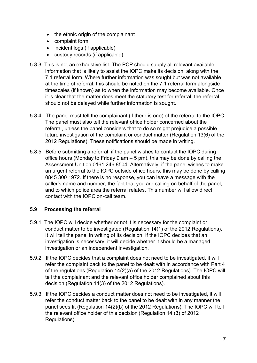- the ethnic origin of the complainant
- complaint form
- incident logs (if applicable)
- custody records (if applicable)
- 5.8.3 This is not an exhaustive list. The PCP should supply all relevant available information that is likely to assist the IOPC make its decision, along with the 7.1 referral form. Where further information was sought but was not available at the time of referral, this should be noted on the 7.1 referral form alongside timescales (if known) as to when the information may become available. Once it is clear that the matter does meet the statutory test for referral, the referral should not be delayed while further information is sought.
- 5.8.4 The panel must tell the complainant (if there is one) of the referral to the IOPC. The panel must also tell the relevant office holder concerned about the referral, unless the panel considers that to do so might prejudice a possible future investigation of the complaint or conduct matter (Regulation 13(6) of the 2012 Regulations). These notifications should be made in writing.
- 5.8.5 Before submitting a referral, if the panel wishes to contact the IOPC during office hours (Monday to Friday 9 am  $-5$  pm), this may be done by calling the Assessment Unit on 0161 246 8504. Alternatively, if the panel wishes to make an urgent referral to the IOPC outside office hours, this may be done by calling 0845 300 1972. If there is no response, you can leave a message with the caller's name and number, the fact that you are calling on behalf of the panel, and to which police area the referral relates. This number will allow direct contact with the IOPC on-call team.

#### **5.9 Processing the referral**

- 5.9.1 The IOPC will decide whether or not it is necessary for the complaint or conduct matter to be investigated (Regulation 14(1) of the 2012 Regulations). It will tell the panel in writing of its decision. If the IOPC decides that an investigation is necessary, it will decide whether it should be a managed investigation or an independent investigation.
- 5.9.2 If the IOPC decides that a complaint does not need to be investigated, it will refer the complaint back to the panel to be dealt with in accordance with Part 4 of the regulations (Regulation 14(2)(a) of the 2012 Regulations). The IOPC will tell the complainant and the relevant office holder complained about this decision (Regulation 14(3) of the 2012 Regulations).
- 5.9.3 If the IOPC decides a conduct matter does not need to be investigated, it will refer the conduct matter back to the panel to be dealt with in any manner the panel sees fit (Regulation 14(2)(b) of the 2012 Regulations). The IOPC will tell the relevant office holder of this decision (Regulation 14 (3) of 2012 Regulations).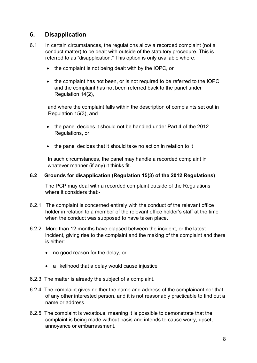## **6. Disapplication**

- 6.1 In certain circumstances, the regulations allow a recorded complaint (not a conduct matter) to be dealt with outside of the statutory procedure. This is referred to as "disapplication." This option is only available where:
	- the complaint is not being dealt with by the IOPC, or
	- the complaint has not been, or is not required to be referred to the IOPC and the complaint has not been referred back to the panel under Regulation 14(2),

and where the complaint falls within the description of complaints set out in Regulation 15(3), and

- the panel decides it should not be handled under Part 4 of the 2012 Regulations, or
- the panel decides that it should take no action in relation to it

In such circumstances, the panel may handle a recorded complaint in whatever manner (if any) it thinks fit.

#### **6.2 Grounds for disapplication (Regulation 15(3) of the 2012 Regulations)**

The PCP may deal with a recorded complaint outside of the Regulations where it considers that -

- 6.2.1 The complaint is concerned entirely with the conduct of the relevant office holder in relation to a member of the relevant office holder's staff at the time when the conduct was supposed to have taken place.
- 6.2.2 More than 12 months have elapsed between the incident, or the latest incident, giving rise to the complaint and the making of the complaint and there is either:
	- no good reason for the delay, or
	- a likelihood that a delay would cause injustice
- 6.2.3 The matter is already the subject of a complaint.
- 6.2.4 The complaint gives neither the name and address of the complainant nor that of any other interested person, and it is not reasonably practicable to find out a name or address.
- 6.2.5 The complaint is vexatious, meaning it is possible to demonstrate that the complaint is being made without basis and intends to cause worry, upset, annoyance or embarrassment.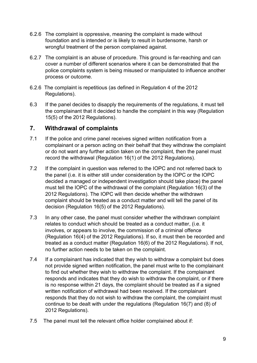- 6.2.6 The complaint is oppressive, meaning the complaint is made without foundation and is intended or is likely to result in burdensome, harsh or wrongful treatment of the person complained against.
- 6.2.7 The complaint is an abuse of procedure. This ground is far-reaching and can cover a number of different scenarios where it can be demonstrated that the police complaints system is being misused or manipulated to influence another process or outcome.
- 6.2.6 The complaint is repetitious (as defined in Regulation 4 of the 2012 Regulations).
- 6.3 If the panel decides to disapply the requirements of the regulations, it must tell the complainant that it decided to handle the complaint in this way (Regulation 15(5) of the 2012 Regulations).

#### **7. Withdrawal of complaints**

- 7.1 If the police and crime panel receives signed written notification from a complainant or a person acting on their behalf that they withdraw the complaint or do not want any further action taken on the complaint, then the panel must record the withdrawal (Regulation 16(1) of the 2012 Regulations).
- 7.2 If the complaint in question was referred to the IOPC and not referred back to the panel (i.e. it is either still under consideration by the IOPC or the IOPC decided a managed or independent investigation should take place) the panel must tell the IOPC of the withdrawal of the complaint (Regulation 16(3) of the 2012 Regulations). The IOPC will then decide whether the withdrawn complaint should be treated as a conduct matter and will tell the panel of its decision (Regulation 16(5) of the 2012 Regulations).
- 7.3 In any other case, the panel must consider whether the withdrawn complaint relates to conduct which should be treated as a conduct matter, (i.e. it involves, or appears to involve, the commission of a criminal offence (Regulation 16(4) of the 2012 Regulations). If so, it must then be recorded and treated as a conduct matter (Regulation 16(6) of the 2012 Regulations). If not, no further action needs to be taken on the complaint.
- 7.4 If a complainant has indicated that they wish to withdraw a complaint but does not provide signed written notification, the panel must write to the complainant to find out whether they wish to withdraw the complaint. If the complainant responds and indicates that they do wish to withdraw the complaint, or if there is no response within 21 days, the complaint should be treated as if a signed written notification of withdrawal had been received. If the complainant responds that they do not wish to withdraw the complaint, the complaint must continue to be dealt with under the regulations (Regulation 16(7) and (8) of 2012 Regulations).
- 7.5 The panel must tell the relevant office holder complained about if: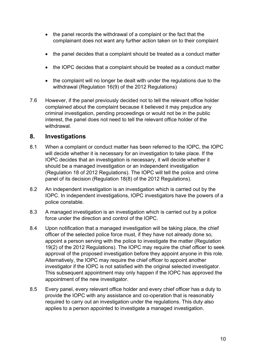- the panel records the withdrawal of a complaint or the fact that the complainant does not want any further action taken on to their complaint
- the panel decides that a complaint should be treated as a conduct matter
- the IOPC decides that a complaint should be treated as a conduct matter
- the complaint will no longer be dealt with under the regulations due to the withdrawal (Regulation 16(9) of the 2012 Regulations)
- 7.6 However, if the panel previously decided not to tell the relevant office holder complained about the complaint because it believed it may prejudice any criminal investigation, pending proceedings or would not be in the public interest, the panel does not need to tell the relevant office holder of the withdrawal.

#### **8. Investigations**

- 8.1 When a complaint or conduct matter has been referred to the IOPC, the IOPC will decide whether it is necessary for an investigation to take place. If the IOPC decides that an investigation is necessary, it will decide whether it should be a managed investigation or an independent investigation (Regulation 18 of 2012 Regulations). The IOPC will tell the police and crime panel of its decision (Regulation 18(8) of the 2012 Regulations).
- 8.2 An independent investigation is an investigation which is carried out by the IOPC. In independent investigations, IOPC investigators have the powers of a police constable.
- 8.3 A managed investigation is an investigation which is carried out by a police force under the direction and control of the IOPC.
- 8.4 Upon notification that a managed investigation will be taking place, the chief officer of the selected police force must, if they have not already done so, appoint a person serving with the police to investigate the matter (Regulation 19(2) of the 2012 Regulations). The IOPC may require the chief officer to seek approval of the proposed investigation before they appoint anyone in this role. Alternatively, the IOPC may require the chief officer to appoint another investigator if the IOPC is not satisfied with the original selected investigator. This subsequent appointment may only happen if the IOPC has approved the appointment of the new investigator.
- 8.5 Every panel, every relevant office holder and every chief officer has a duty to provide the IOPC with any assistance and co-operation that is reasonably required to carry out an investigation under the regulations. This duty also applies to a person appointed to investigate a managed investigation.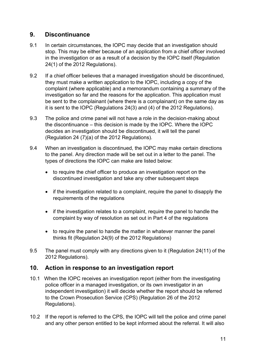## **9. Discontinuance**

- 9.1 In certain circumstances, the IOPC may decide that an investigation should stop. This may be either because of an application from a chief officer involved in the investigation or as a result of a decision by the IOPC itself (Regulation 24(1) of the 2012 Regulations).
- 9.2 If a chief officer believes that a managed investigation should be discontinued, they must make a written application to the IOPC, including a copy of the complaint (where applicable) and a memorandum containing a summary of the investigation so far and the reasons for the application. This application must be sent to the complainant (where there is a complainant) on the same day as it is sent to the IOPC (Regulations 24(3) and (4) of the 2012 Regulations).
- 9.3 The police and crime panel will not have a role in the decision-making about the discontinuance – this decision is made by the IOPC. Where the IOPC decides an investigation should be discontinued, it will tell the panel (Regulation 24 (7)(a) of the 2012 Regulations).
- 9.4 When an investigation is discontinued, the IOPC may make certain directions to the panel. Any direction made will be set out in a letter to the panel. The types of directions the IOPC can make are listed below:
	- to require the chief officer to produce an investigation report on the discontinued investigation and take any other subsequent steps
	- if the investigation related to a complaint, require the panel to disapply the requirements of the regulations
	- if the investigation relates to a complaint, require the panel to handle the complaint by way of resolution as set out in Part 4 of the regulations
	- to require the panel to handle the matter in whatever manner the panel thinks fit (Regulation 24(9) of the 2012 Regulations)
- 9.5 The panel must comply with any directions given to it (Regulation 24(11) of the 2012 Regulations).

## **10. Action in response to an investigation report**

- 10.1 When the IOPC receives an investigation report (either from the investigating police officer in a managed investigation, or its own investigator in an independent investigation) it will decide whether the report should be referred to the Crown Prosecution Service (CPS) (Regulation 26 of the 2012 Regulations).
- 10.2 If the report is referred to the CPS, the IOPC will tell the police and crime panel and any other person entitled to be kept informed about the referral. It will also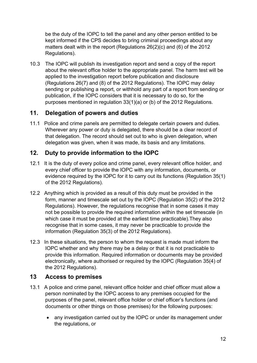be the duty of the IOPC to tell the panel and any other person entitled to be kept informed if the CPS decides to bring criminal proceedings about any matters dealt with in the report (Regulations 26(2)(c) and (6) of the 2012 Regulations).

10.3 The IOPC will publish its investigation report and send a copy of the report about the relevant office holder to the appropriate panel. The harm test will be applied to the investigation report before publication and disclosure (Regulations 26(7) and (8) of the 2012 Regulations). The IOPC may delay sending or publishing a report, or withhold any part of a report from sending or publication, if the IOPC considers that it is necessary to do so, for the purposes mentioned in regulation 33(1)(a) or (b) of the 2012 Regulations.

## **11. Delegation of powers and duties**

11.1 Police and crime panels are permitted to delegate certain powers and duties. Wherever any power or duty is delegated, there should be a clear record of that delegation. The record should set out to who is given delegation, when delegation was given, when it was made, its basis and any limitations.

## **12. Duty to provide information to the IOPC**

- 12.1 It is the duty of every police and crime panel, every relevant office holder, and every chief officer to provide the IOPC with any information, documents, or evidence required by the IOPC for it to carry out its functions (Regulation 35(1) of the 2012 Regulations).
- 12.2 Anything which is provided as a result of this duty must be provided in the form, manner and timescale set out by the IOPC (Regulation 35(2) of the 2012 Regulations). However, the regulations recognise that in some cases it may not be possible to provide the required information within the set timescale (in which case it must be provided at the earliest time practicable).They also recognise that in some cases, it may never be practicable to provide the information (Regulation 35(3) of the 2012 Regulations).
- 12.3 In these situations, the person to whom the request is made must inform the IOPC whether and why there may be a delay or that it is not practicable to provide this information. Required information or documents may be provided electronically, where authorised or required by the IOPC (Regulation 35(4) of the 2012 Regulations).

## **13 Access to premises**

- 13.1 A police and crime panel, relevant office holder and chief officer must allow a person nominated by the IOPC access to any premises occupied for the purposes of the panel, relevant office holder or chief officer's functions (and documents or other things on those premises) for the following purposes:
	- any investigation carried out by the IOPC or under its management under the regulations, or